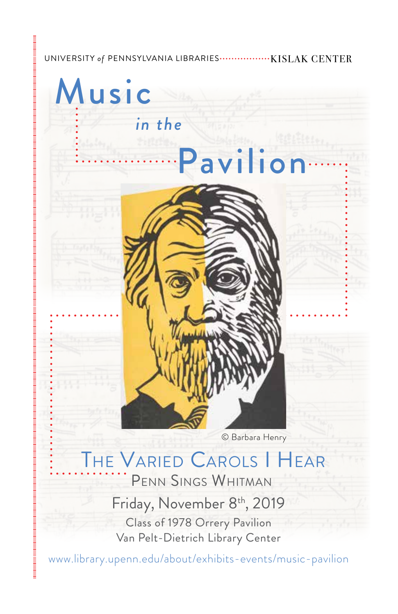#### UNIVERSITY of PENNSYLVANIA LIBRARIES .................. KISLAK CENTER



## PENN SINGS WHITMAN THE VARIED CAROLS I HEAR

Friday, November 8<sup>th</sup>, 2019 Class of 1978 Orrery Pavilion Van Pelt-Dietrich Library Center

<www.library.upenn.edu/about/exhibits-events/music-pavilion>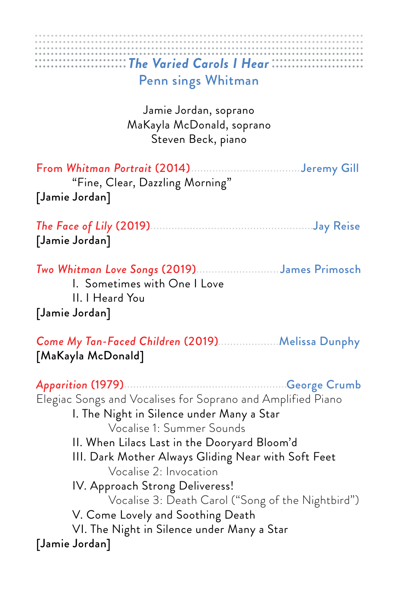## From Whitman Portrait (2014)................................Jeremy Gill "Fine, Clear, Dazzling Morning" *The Face of Lily* (2019) Jay Reise *Two Whitman Love Songs* (2019).........................James Primosch II. I Heard You **Come My Tan-Faced Children (2019)...................Melissa Dunphy** Apparition (1979)……………………………………………George Crumb .................................................................................. . . . . . . . . . . . . . . . . . . . . . . . . . . . . . . . . . . . . . . . . . . . . . . . . . . . . . . . . . . . . . . . . . . . . . . . . . . . . . . . . . . . . . . . . . . . . . . . . . . . . . . . . . . . . . . . . . . . . . . . . . . . . . . . . . . . . . . . . . . . . . . . . . . . . . . . . . . . . . . . . . . . . *The Varied Carols I Hear*  Penn sings Whitman Jamie Jordan, soprano MaKayla McDonald, soprano Steven Beck, piano [Jamie Jordan] [Jamie Jordan] I. Sometimes with One I Love [Jamie Jordan] [MaKayla McDonald] Elegiac Songs and Vocalises for Soprano and Amplified Piano I. The Night in Silence under Many a Star Vocalise 1: Summer Sounds II. When Lilacs Last in the Dooryard Bloom'd III. Dark Mother Always Gliding Near with Soft Feet Vocalise 2: Invocation IV. Approach Strong Deliveress! Vocalise 3: Death Carol ("Song of the Nightbird")

- V. Come Lovely and Soothing Death
- VI. The Night in Silence under Many a Star [Jamie Jordan]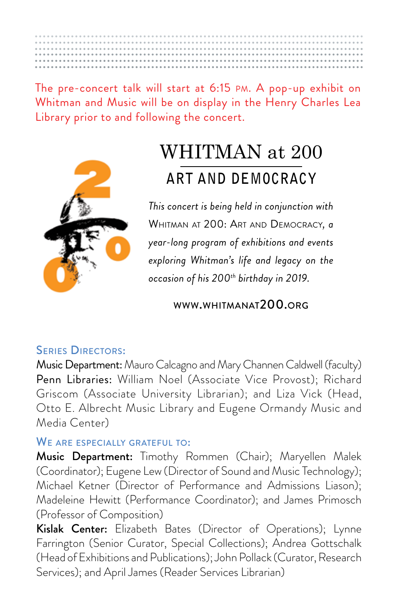The pre-concert talk will start at 6:15 PM. A pop-up exhibit on Whitman and Music will be on display in the Henry Charles Lea Library prior to and following the concert.



# WHITMAN at 200 **ART AND DEMOCRACY**

 WHITMAN AT 200: ART AND DEMOCRACY*, a This concert is being held in conjunction with year-long program of exhibitions and events exploring Whitman's life and legacy on the occasion of his 200th birthday in 2019.* 

<WWW.WHITMANAT200.ORG>

#### SERIES DIRECTORS:

Music Department: Mauro Calcagno and Mary Channen Caldwell (faculty) Penn Libraries: William Noel (Associate Vice Provost); Richard Griscom (Associate University Librarian); and Liza Vick (Head, Otto E. Albrecht Music Library and Eugene Ormandy Music and Media Center)

#### WE ARE ESPECIALLY GRATEFUL TO:

Music Department: Timothy Rommen (Chair); Maryellen Malek (Coordinator); Eugene Lew (Director of Sound and Music Technology); Michael Ketner (Director of Performance and Admissions Liason); Madeleine Hewitt (Performance Coordinator); and James Primosch (Professor of Composition)

Kislak Center: Elizabeth Bates (Director of Operations); Lynne Farrington (Senior Curator, Special Collections); Andrea Gottschalk (Head of Exhibitions and Publications); John Pollack (Curator, Research Services); and April James (Reader Services Librarian)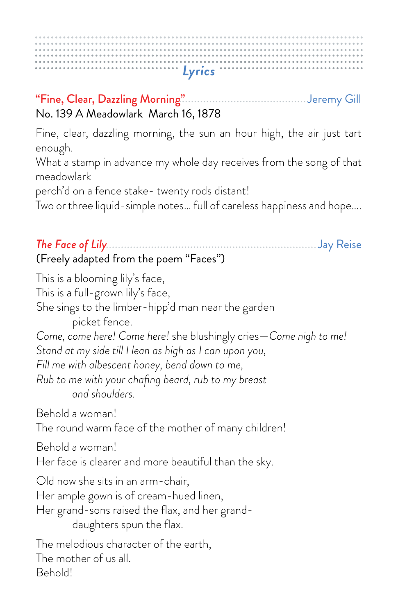#### "Fine, Clear, Dazzling Morning" Jeremy Gill No. 139 A Meadowlark March 16, 1878

Fine, clear, dazzling morning, the sun an hour high, the air just tart enough.

What a stamp in advance my whole day receives from the song of that meadowlark

perch'd on a fence stake- twenty rods distant!

Two or three liquid-simple notes… full of careless happiness and hope….

#### *The Face of Lily* Jay Reise (Freely adapted from the poem "Faces")

This is a blooming lily's face, This is a full-grown lily's face, She sings to the limber-hipp'd man near the garden picket fence. *Come, come here! Come here!* she blushingly cries—*Come nigh to me! Stand at my side till I lean as high as I can upon you, Fill me with albescent honey, bend down to me, Rub to me with your chafng beard, rub to my breast and shoulders.*  Behold a woman! The round warm face of the mother of many children! Behold a woman! Her face is clearer and more beautiful than the sky. Old now she sits in an arm-chair, Her ample gown is of cream-hued linen, Her grand-sons raised the flax, and her granddaughters spun the flax. The melodious character of the earth, The mother of us all. Behold!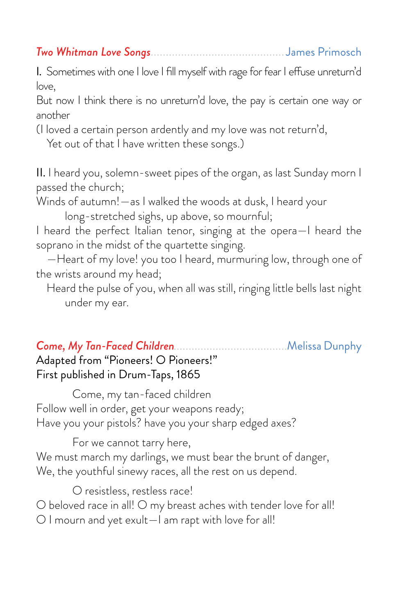I. Sometimes with one I love I fll myself with rage for fear I efuse unreturn'd love,

But now I think there is no unreturn'd love, the pay is certain one way or another

(I loved a certain person ardently and my love was not return'd,

Yet out of that I have written these songs.)

II. I heard you, solemn-sweet pipes of the organ, as last Sunday morn I passed the church;

Winds of autumn!—as I walked the woods at dusk, I heard your

long-stretched sighs, up above, so mournful;

I heard the perfect Italian tenor, singing at the opera—I heard the soprano in the midst of the quartette singing.

 —Heart of my love! you too I heard, murmuring low, through one of the wrists around my head;

 Heard the pulse of you, when all was still, ringing little bells last night under my ear.

 *Come, My Tan-Faced Children* Melissa Dunphy Adapted from "Pioneers! O Pioneers!" First published in Drum-Taps, 1865

Come, my tan-faced children Follow well in order, get your weapons ready; Have you your pistols? have you your sharp edged axes?

For we cannot tarry here, We must march my darlings, we must bear the brunt of danger, We, the youthful sinewy races, all the rest on us depend.

O resistless, restless race!

O beloved race in all! O my breast aches with tender love for all!

O I mourn and yet exult—I am rapt with love for all!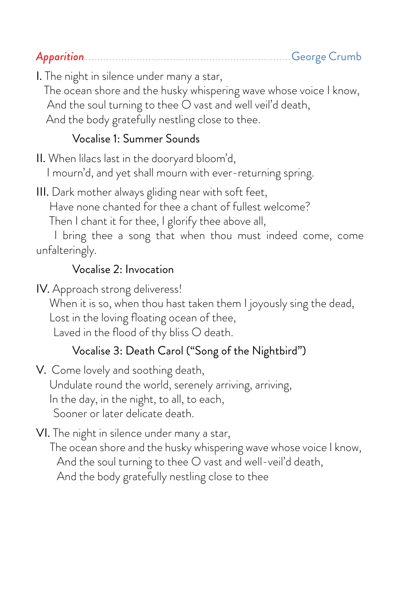*Apparition* .................................................................... George Crumb

I. The night in silence under many a star,

 The ocean shore and the husky whispering wave whose voice I know, And the soul turning to thee O vast and well veil'd death, And the body gratefully nestling close to thee.

#### Vocalise 1: Summer Sounds

II. When lilacs last in the dooryard bloom'd, I mourn'd, and yet shall mourn with ever-returning spring.

III. Dark mother always gliding near with soft feet, Have none chanted for thee a chant of fullest welcome?

Then I chant it for thee, I glorify thee above all,

 I bring thee a song that when thou must indeed come, come unfalteringly.

#### Vocalise 2: Invocation

IV. Approach strong deliveress!

When it is so, when thou hast taken them I joyously sing the dead,

Lost in the loving floating ocean of thee,

Laved in the flood of thy bliss O death.

#### Vocalise 3: Death Carol ("Song of the Nightbird")

V. Come lovely and soothing death, Undulate round the world, serenely arriving, arriving, In the day, in the night, to all, to each, Sooner or later delicate death.

VI. The night in silence under many a star, The ocean shore and the husky whispering wave whose voice I know,

And the soul turning to thee O vast and well-veil'd death,

And the body gratefully nestling close to thee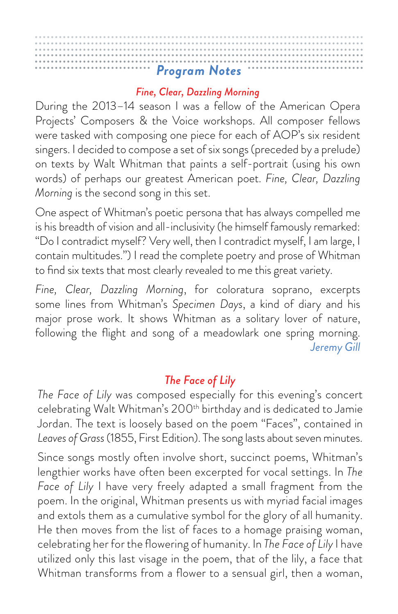#### *Fine, Clear, Dazzling Morning*

During the 2013–14 season I was a fellow of the American Opera Projects' Composers & the Voice workshops. All composer fellows were tasked with composing one piece for each of AOP's six resident singers. I decided to compose a set of six songs (preceded by a prelude) on texts by Walt Whitman that paints a self-portrait (using his own words) of perhaps our greatest American poet. *Fine, Clear, Dazzling Morning* is the second song in this set.

One aspect of Whitman's poetic persona that has always compelled me is his breadth of vision and all-inclusivity (he himself famously remarked: "Do I contradict myself? Very well, then I contradict myself, I am large, I contain multitudes.") I read the complete poetry and prose of Whitman to fnd six texts that most clearly revealed to me this great variety.

*Fine, Clear, Dazzling Morning*, for coloratura soprano, excerpts some lines from Whitman's *Specimen Days*, a kind of diary and his major prose work. It shows Whitman as a solitary lover of nature, following the fight and song of a meadowlark one spring morning. *Jeremy Gill* 

#### *The Face of Lily*

*The Face of Lily* was composed especially for this evening's concert celebrating Walt Whitman's 200<sup>th</sup> birthday and is dedicated to Jamie Jordan. The text is loosely based on the poem "Faces", contained in *Leaves of Grass* (1855, First Edition). The song lasts about seven minutes.

Since songs mostly often involve short, succinct poems, Whitman's lengthier works have often been excerpted for vocal settings. In *The Face of Lily* I have very freely adapted a small fragment from the poem. In the original, Whitman presents us with myriad facial images and extols them as a cumulative symbol for the glory of all humanity. He then moves from the list of faces to a homage praising woman, celebrating her for the fowering of humanity. In *The Face of Lily* I have utilized only this last visage in the poem, that of the lily, a face that Whitman transforms from a flower to a sensual girl, then a woman,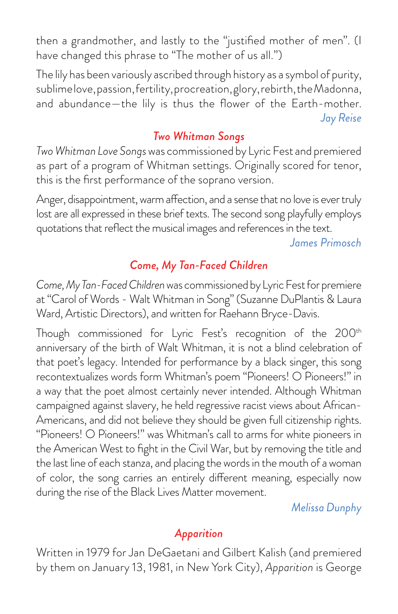then a grandmother, and lastly to the "justifed mother of men". (I have changed this phrase to "The mother of us all.")

The lily has been variously ascribed through history as a symbol of purity, sublime love, passion, fertility, procreation, glory, rebirth, the Madonna, and abundance—the lily is thus the fower of the Earth-mother. *Jay Reise* 

#### *Two Whitman Songs*

*Two Whitman Love Songs* was commissioned by Lyric Fest and premiered as part of a program of Whitman settings. Originally scored for tenor, this is the frst performance of the soprano version.

Anger, disappointment, warm afection, and a sense that no love is ever truly lost are all expressed in these brief texts. The second song playfully employs quotations that refect the musical images and references in the text.

*James Primosch* 

#### *Come, My Tan-Faced Children*

*Come, My Tan-Faced Children* was commissioned by Lyric Fest for premiere at "Carol of Words - Walt Whitman in Song" (Suzanne DuPlantis & Laura Ward, Artistic Directors), and written for Raehann Bryce-Davis.

Though commissioned for Lyric Fest's recognition of the 200<sup>th</sup> anniversary of the birth of Walt Whitman, it is not a blind celebration of that poet's legacy. Intended for performance by a black singer, this song recontextualizes words form Whitman's poem "Pioneers! O Pioneers!" in a way that the poet almost certainly never intended. Although Whitman campaigned against slavery, he held regressive racist views about African-Americans, and did not believe they should be given full citizenship rights. "Pioneers! O Pioneers!" was Whitman's call to arms for white pioneers in the American West to fght in the Civil War, but by removing the title and the last line of each stanza, and placing the words in the mouth of a woman of color, the song carries an entirely diferent meaning, especially now during the rise of the Black Lives Matter movement.

*Melissa Dunphy* 

### *Apparition*

 by them on January 13, 1981, in New York City), *Apparition* is George Written in 1979 for Jan DeGaetani and Gilbert Kalish (and premiered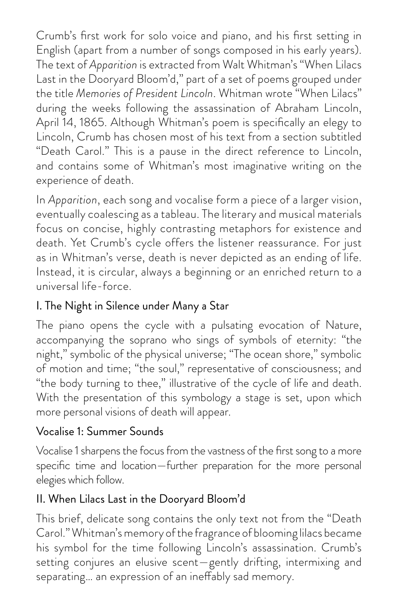Crumb's frst work for solo voice and piano, and his frst setting in English (apart from a number of songs composed in his early years). The text of *Apparition* is extracted from Walt Whitman's "When Lilacs Last in the Dooryard Bloom'd," part of a set of poems grouped under the title *Memories of President Lincoln*. Whitman wrote "When Lilacs" during the weeks following the assassination of Abraham Lincoln, April 14, 1865. Although Whitman's poem is specifcally an elegy to Lincoln, Crumb has chosen most of his text from a section subtitled "Death Carol." This is a pause in the direct reference to Lincoln, and contains some of Whitman's most imaginative writing on the experience of death.

In *Apparition*, each song and vocalise form a piece of a larger vision, eventually coalescing as a tableau. The literary and musical materials focus on concise, highly contrasting metaphors for existence and death. Yet Crumb's cycle offers the listener reassurance. For just as in Whitman's verse, death is never depicted as an ending of life. Instead, it is circular, always a beginning or an enriched return to a universal life-force.

#### I. The Night in Silence under Many a Star

The piano opens the cycle with a pulsating evocation of Nature, accompanying the soprano who sings of symbols of eternity: "the night," symbolic of the physical universe; "The ocean shore," symbolic of motion and time; "the soul," representative of consciousness; and "the body turning to thee," illustrative of the cycle of life and death. With the presentation of this symbology a stage is set, upon which more personal visions of death will appear.

#### Vocalise 1: Summer Sounds

Vocalise 1 sharpens the focus from the vastness of the frst song to a more specifc time and location—further preparation for the more personal elegies which follow.

#### II. When Lilacs Last in the Dooryard Bloom'd

This brief, delicate song contains the only text not from the "Death Carol." Whitman's memory of the fragrance of blooming lilacs became his symbol for the time following Lincoln's assassination. Crumb's setting conjures an elusive scent—gently drifting, intermixing and separating… an expression of an inefably sad memory.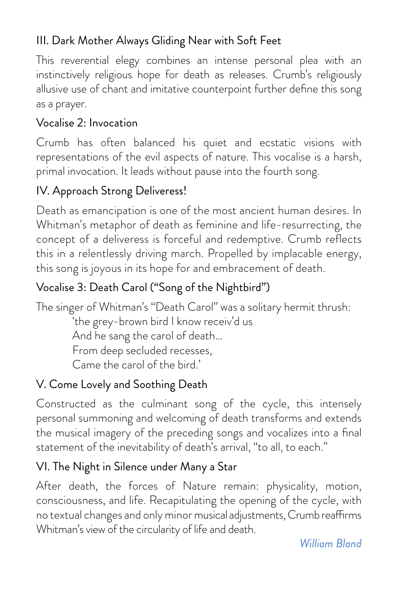#### III. Dark Mother Always Gliding Near with Soft Feet

This reverential elegy combines an intense personal plea with an instinctively religious hope for death as releases. Crumb's religiously allusive use of chant and imitative counterpoint further defne this song as a prayer.

#### Vocalise 2: Invocation

Crumb has often balanced his quiet and ecstatic visions with representations of the evil aspects of nature. This vocalise is a harsh, primal invocation. It leads without pause into the fourth song.

### IV. Approach Strong Deliveress!

Death as emancipation is one of the most ancient human desires. In Whitman's metaphor of death as feminine and life-resurrecting, the concept of a deliveress is forceful and redemptive. Crumb refects this in a relentlessly driving march. Propelled by implacable energy, this song is joyous in its hope for and embracement of death.

### Vocalise 3: Death Carol ("Song of the Nightbird")

The singer of Whitman's "Death Carol" was a solitary hermit thrush:

'the grey-brown bird I know receiv'd us And he sang the carol of death… From deep secluded recesses, Came the carol of the bird.'

### V. Come Lovely and Soothing Death

Constructed as the culminant song of the cycle, this intensely personal summoning and welcoming of death transforms and extends the musical imagery of the preceding songs and vocalizes into a fnal statement of the inevitability of death's arrival, "to all, to each."

#### VI. The Night in Silence under Many a Star

 no textual changes and only minor musical adjustments, Crumb reafrms After death, the forces of Nature remain: physicality, motion, consciousness, and life. Recapitulating the opening of the cycle, with Whitman's view of the circularity of life and death.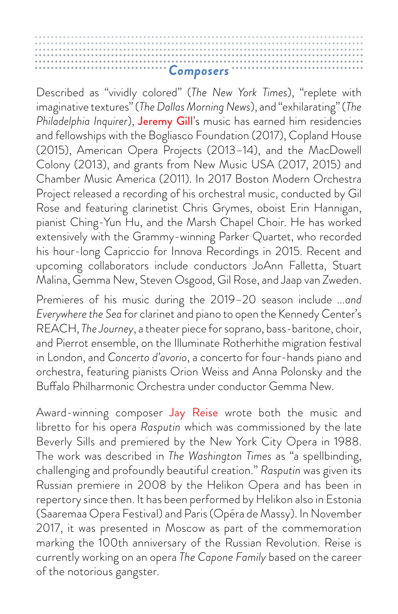Described as "vividly colored" (*The New York Times*), "replete with imaginative textures" (*The Dallas Morning News*), and "exhilarating" (*The Philadelphia Inquirer*), Jeremy Gill's music has earned him residencies and fellowships with the Bogliasco Foundation (2017), Copland House (2015), American Opera Projects (2013–14), and the MacDowell Colony (2013), and grants from New Music USA (2017, 2015) and Chamber Music America (2011). In 2017 Boston Modern Orchestra Project released a recording of his orchestral music, conducted by Gil Rose and featuring clarinetist Chris Grymes, oboist Erin Hannigan, pianist Ching-Yun Hu, and the Marsh Chapel Choir. He has worked extensively with the Grammy-winning Parker Quartet, who recorded his hour-long Capriccio for Innova Recordings in 2015. Recent and upcoming collaborators include conductors JoAnn Falletta, Stuart Malina, Gemma New, Steven Osgood, Gil Rose, and Jaap van Zweden.

Premieres of his music during the 2019–20 season include *...and Everywhere the Sea* for clarinet and piano to open the Kennedy Center's REACH, *The Journey*, a theater piece for soprano, bass-baritone, choir, and Pierrot ensemble, on the Illuminate Rotherhithe migration festival in London, and *Concerto d'avorio*, a concerto for four-hands piano and orchestra, featuring pianists Orion Weiss and Anna Polonsky and the Bufalo Philharmonic Orchestra under conductor Gemma New.

Award-winning composer Jay Reise wrote both the music and libretto for his opera *Rasputin* which was commissioned by the late Beverly Sills and premiered by the New York City Opera in 1988. The work was described in *The Washington Times* as "a spellbinding, challenging and profoundly beautiful creation." *Rasputin* was given its Russian premiere in 2008 by the Helikon Opera and has been in repertory since then. It has been performed by Helikon also in Estonia (Saaremaa Opera Festival) and Paris (Opéra de Massy). In November 2017, it was presented in Moscow as part of the commemoration marking the 100th anniversary of the Russian Revolution. Reise is currently working on an opera *The Capone Family* based on the career of the notorious gangster.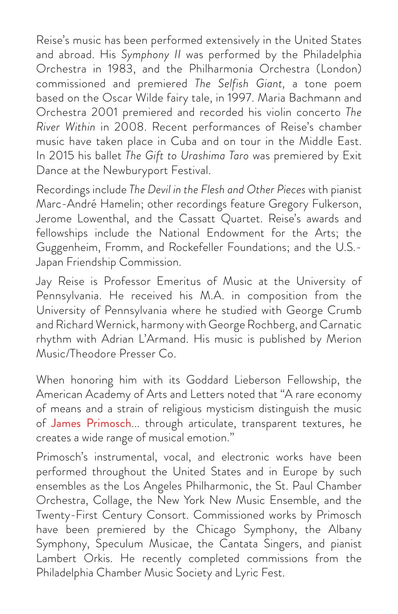Reise's music has been performed extensively in the United States and abroad. His *Symphony II* was performed by the Philadelphia Orchestra in 1983, and the Philharmonia Orchestra (London) commissioned and premiered *The Selfish Giant,* a tone poem based on the Oscar Wilde fairy tale, in 1997. Maria Bachmann and Orchestra 2001 premiered and recorded his violin concerto *The River Within* in 2008. Recent performances of Reise's chamber music have taken place in Cuba and on tour in the Middle East. In 2015 his ballet *The Gift to Urashima Taro* was premiered by Exit Dance at the Newburyport Festival.

Recordings include *The Devil in the Flesh and Other Pieces* with pianist Marc-André Hamelin; other recordings feature Gregory Fulkerson, Jerome Lowenthal, and the Cassatt Quartet. Reise's awards and fellowships include the National Endowment for the Arts; the Guggenheim, Fromm, and Rockefeller Foundations; and the U.S.- Japan Friendship Commission.

Jay Reise is Professor Emeritus of Music at the University of Pennsylvania. He received his M.A. in composition from the University of Pennsylvania where he studied with George Crumb and Richard Wernick, harmony with George Rochberg, and Carnatic rhythm with Adrian L'Armand. His music is published by Merion Music/Theodore Presser Co.

When honoring him with its Goddard Lieberson Fellowship, the American Academy of Arts and Letters noted that "A rare economy of means and a strain of religious mysticism distinguish the music of James Primosch... through articulate, transparent textures, he creates a wide range of musical emotion."

Primosch's instrumental, vocal, and electronic works have been performed throughout the United States and in Europe by such ensembles as the Los Angeles Philharmonic, the St. Paul Chamber Orchestra, Collage, the New York New Music Ensemble, and the Twenty-First Century Consort. Commissioned works by Primosch have been premiered by the Chicago Symphony, the Albany Symphony, Speculum Musicae, the Cantata Singers, and pianist Lambert Orkis. He recently completed commissions from the Philadelphia Chamber Music Society and Lyric Fest.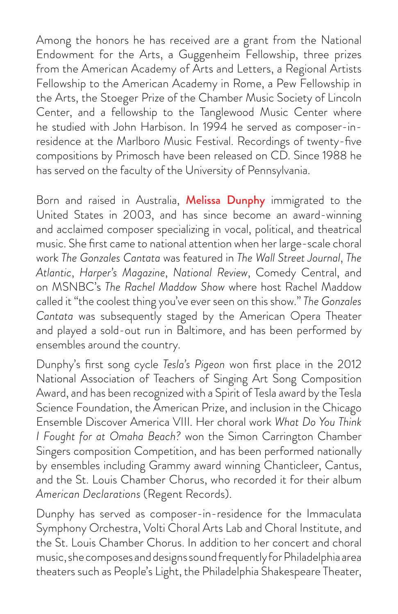the Arts, the Stoeger Prize of the Chamber Music Society of Lincoln Among the honors he has received are a grant from the National Endowment for the Arts, a Guggenheim Fellowship, three prizes from the American Academy of Arts and Letters, a Regional Artists Fellowship to the American Academy in Rome, a Pew Fellowship in Center, and a fellowship to the Tanglewood Music Center where he studied with John Harbison. In 1994 he served as composer-inresidence at the Marlboro Music Festival. Recordings of twenty-fve compositions by Primosch have been released on CD. Since 1988 he has served on the faculty of the University of Pennsylvania.

Born and raised in Australia, Melissa Dunphy immigrated to the United States in 2003, and has since become an award-winning and acclaimed composer specializing in vocal, political, and theatrical music. She frst came to national attention when her large-scale choral work *The Gonzales Cantata* was featured in *The Wall Street Journal*, *The Atlantic*, *Harper's Magazine*, *National Review*, Comedy Central, and on MSNBC's *The Rachel Maddow Show* where host Rachel Maddow called it "the coolest thing you've ever seen on this show." *The Gonzales Cantata* was subsequently staged by the American Opera Theater and played a sold-out run in Baltimore, and has been performed by ensembles around the country.

Dunphy's frst song cycle *Tesla's Pigeon* won frst place in the 2012 National Association of Teachers of Singing Art Song Composition Award, and has been recognized with a Spirit of Tesla award by the Tesla Science Foundation, the American Prize, and inclusion in the Chicago Ensemble Discover America VIII. Her choral work *What Do You Think I Fought for at Omaha Beach?* won the Simon Carrington Chamber Singers composition Competition, and has been performed nationally by ensembles including Grammy award winning Chanticleer, Cantus, and the St. Louis Chamber Chorus, who recorded it for their album *American Declarations* (Regent Records).

Dunphy has served as composer-in-residence for the Immaculata Symphony Orchestra, Volti Choral Arts Lab and Choral Institute, and the St. Louis Chamber Chorus. In addition to her concert and choral music, she composes and designs sound frequently for Philadelphia area theaters such as People's Light, the Philadelphia Shakespeare Theater,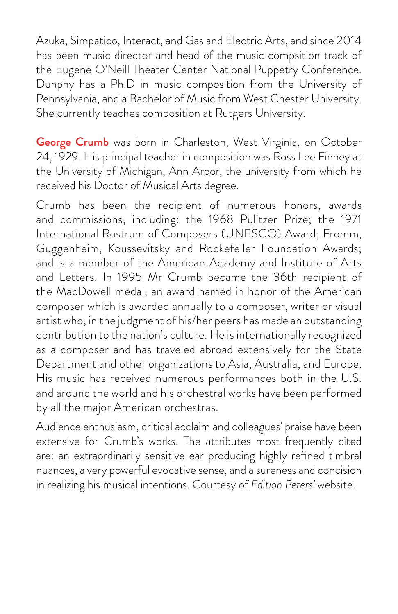Azuka, Simpatico, Interact, and Gas and Electric Arts, and since 2014 has been music director and head of the music compsition track of the Eugene O'Neill Theater Center National Puppetry Conference. Dunphy has a Ph.D in music composition from the University of Pennsylvania, and a Bachelor of Music from West Chester University. She currently teaches composition at Rutgers University.

George Crumb was born in Charleston, West Virginia, on October 24, 1929. His principal teacher in composition was Ross Lee Finney at the University of Michigan, Ann Arbor, the university from which he received his Doctor of Musical Arts degree.

Crumb has been the recipient of numerous honors, awards and commissions, including: the 1968 Pulitzer Prize; the 1971 International Rostrum of Composers (UNESCO) Award; Fromm, Guggenheim, Koussevitsky and Rockefeller Foundation Awards; and is a member of the American Academy and Institute of Arts and Letters. In 1995 Mr Crumb became the 36th recipient of the MacDowell medal, an award named in honor of the American composer which is awarded annually to a composer, writer or visual artist who, in the judgment of his/her peers has made an outstanding contribution to the nation's culture. He is internationally recognized as a composer and has traveled abroad extensively for the State Department and other organizations to Asia, Australia, and Europe. His music has received numerous performances both in the U.S. and around the world and his orchestral works have been performed by all the major American orchestras.

Audience enthusiasm, critical acclaim and colleagues' praise have been extensive for Crumb's works. The attributes most frequently cited are: an extraordinarily sensitive ear producing highly refned timbral nuances, a very powerful evocative sense, and a sureness and concision in realizing his musical intentions. Courtesy of *Edition Peters'* website.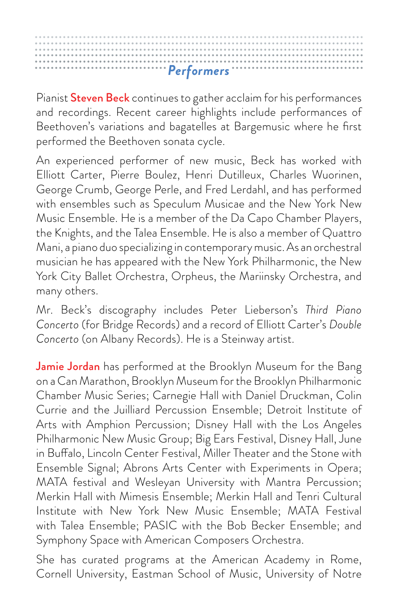Pianist Steven Beck continues to gather acclaim for his performances and recordings. Recent career highlights include performances of Beethoven's variations and bagatelles at Bargemusic where he frst performed the Beethoven sonata cycle.

An experienced performer of new music, Beck has worked with Elliott Carter, Pierre Boulez, Henri Dutilleux, Charles Wuorinen, George Crumb, George Perle, and Fred Lerdahl, and has performed with ensembles such as Speculum Musicae and the New York New Music Ensemble. He is a member of the Da Capo Chamber Players, the Knights, and the Talea Ensemble. He is also a member of Quattro Mani, a piano duo specializing in contemporary music. As an orchestral musician he has appeared with the New York Philharmonic, the New York City Ballet Orchestra, Orpheus, the Mariinsky Orchestra, and many others.

Mr. Beck's discography includes Peter Lieberson's *Third Piano Concerto* (for Bridge Records) and a record of Elliott Carter's *Double Concerto* (on Albany Records). He is a Steinway artist.

Jamie Jordan has performed at the Brooklyn Museum for the Bang on a Can Marathon, Brooklyn Museum for the Brooklyn Philharmonic Chamber Music Series; Carnegie Hall with Daniel Druckman, Colin Currie and the Juilliard Percussion Ensemble; Detroit Institute of Arts with Amphion Percussion; Disney Hall with the Los Angeles Philharmonic New Music Group; Big Ears Festival, Disney Hall, June in Bufalo, Lincoln Center Festival, Miller Theater and the Stone with Ensemble Signal; Abrons Arts Center with Experiments in Opera; MATA festival and Wesleyan University with Mantra Percussion; Merkin Hall with Mimesis Ensemble; Merkin Hall and Tenri Cultural Institute with New York New Music Ensemble; MATA Festival with Talea Ensemble; PASIC with the Bob Becker Ensemble; and Symphony Space with American Composers Orchestra.

She has curated programs at the American Academy in Rome, Cornell University, Eastman School of Music, University of Notre